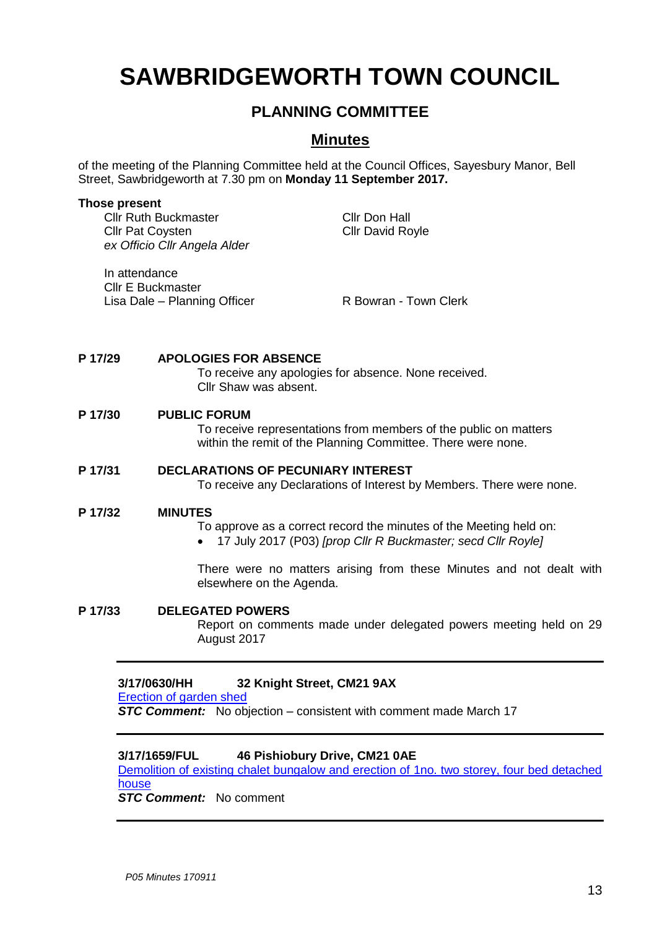# **SAWBRIDGEWORTH TOWN COUNCIL**

# **PLANNING COMMITTEE**

# **Minutes**

of the meeting of the Planning Committee held at the Council Offices, Sayesbury Manor, Bell Street, Sawbridgeworth at 7.30 pm on **Monday 11 September 2017.**

#### **Those present**

Cllr Ruth Buckmaster Cllr Don Hall Cllr Pat Coysten Cllr David Royle *ex Officio Cllr Angela Alder*

In attendance Cllr E Buckmaster Lisa Dale – Planning Officer R Bowran - Town Clerk

#### **P 17/29 APOLOGIES FOR ABSENCE**

To receive any apologies for absence. None received. Cllr Shaw was absent.

#### **P 17/30 PUBLIC FORUM**

To receive representations from members of the public on matters within the remit of the Planning Committee. There were none.

#### **P 17/31 DECLARATIONS OF PECUNIARY INTEREST**

To receive any Declarations of Interest by Members. There were none.

#### **P 17/32 MINUTES**

To approve as a correct record the minutes of the Meeting held on:

17 July 2017 (P03) *[prop Cllr R Buckmaster; secd Cllr Royle]*

There were no matters arising from these Minutes and not dealt with elsewhere on the Agenda.

**P 17/33 DELEGATED POWERS** Report on comments made under delegated powers meeting held on 29 August 2017

## **3/17/0630/HH 32 Knight Street, CM21 9AX**

[Erection of garden shed](https://publicaccess.eastherts.gov.uk/online-applications/applicationDetails.do?activeTab=summary&keyVal=OMR4KZGL00X00)

**STC Comment:** No objection – consistent with comment made March 17

#### **3/17/1659/FUL 46 Pishiobury Drive, CM21 0AE**

[Demolition of existing chalet bungalow and erection of 1no. two storey, four bed detached](https://publicaccess.eastherts.gov.uk/online-applications/applicationDetails.do?activeTab=summary&keyVal=OT12VUGL01D00)  [house](https://publicaccess.eastherts.gov.uk/online-applications/applicationDetails.do?activeTab=summary&keyVal=OT12VUGL01D00)

*STC Comment:* No comment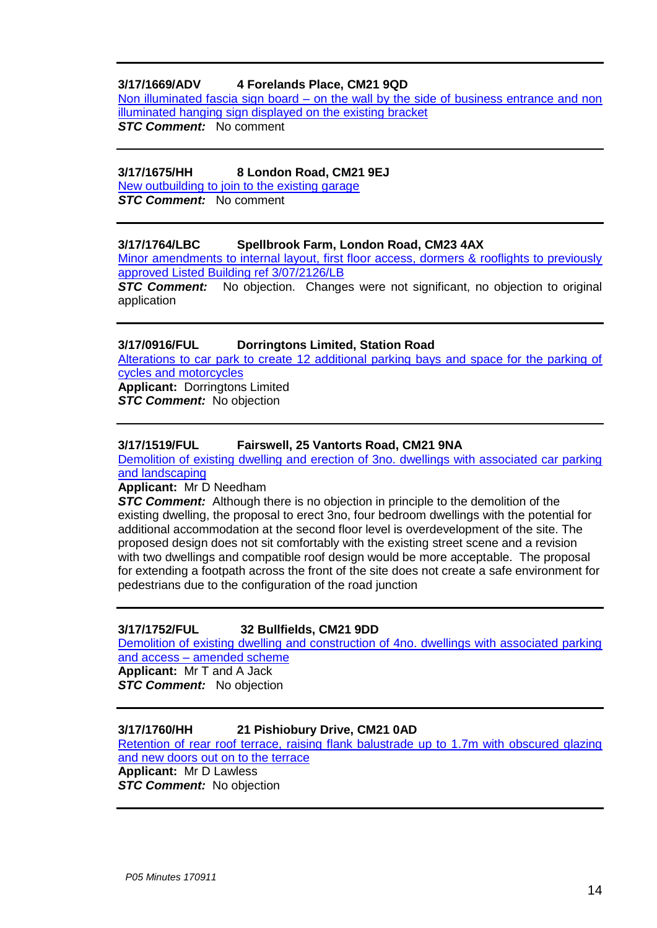## **3/17/1669/ADV 4 Forelands Place, CM21 9QD**

Non illuminated fascia sign board – on the wall by the side of business entrance and non [illuminated hanging sign displayed on the existing bracket](https://publicaccess.eastherts.gov.uk/online-applications/applicationDetails.do?activeTab=summary&keyVal=OT4E5QGLHPC00) *STC Comment:* No comment

#### **3/17/1675/HH 8 London Road, CM21 9EJ**

[New outbuilding to join to the existing garage](https://publicaccess.eastherts.gov.uk/online-applications/applicationDetails.do?activeTab=summary&keyVal=OT83IOGLHPU00) *STC Comment:* No comment

## **3/17/1764/LBC Spellbrook Farm, London Road, CM23 4AX**

[Minor amendments to internal layout, first floor access, dormers & rooflights to previously](https://publicaccess.eastherts.gov.uk/online-applications/applicationDetails.do?activeTab=summary&keyVal=OTORJCGLHUH00)  [approved Listed Building ref 3/07/2126/LB](https://publicaccess.eastherts.gov.uk/online-applications/applicationDetails.do?activeTab=summary&keyVal=OTORJCGLHUH00)

**STC Comment:** No objection. Changes were not significant, no objection to original application

## **3/17/0916/FUL Dorringtons Limited, Station Road**

[Alterations to car park to create 12 additional parking bays and space for the parking of](https://publicaccess.eastherts.gov.uk/online-applications/applicationDetails.do?activeTab=summary&keyVal=OOCSE3GLGFA00)  [cycles and motorcycles](https://publicaccess.eastherts.gov.uk/online-applications/applicationDetails.do?activeTab=summary&keyVal=OOCSE3GLGFA00)

**Applicant:** Dorringtons Limited **STC Comment:** No objection

## **3/17/1519/FUL Fairswell, 25 Vantorts Road, CM21 9NA**

[Demolition of existing dwelling and erection of 3no. dwellings with associated car parking](https://publicaccess.eastherts.gov.uk/online-applications/applicationDetails.do?activeTab=summary&keyVal=OSAV24GL00X00)  [and landscaping](https://publicaccess.eastherts.gov.uk/online-applications/applicationDetails.do?activeTab=summary&keyVal=OSAV24GL00X00)

#### **Applicant:** Mr D Needham

**STC Comment:** Although there is no objection in principle to the demolition of the existing dwelling, the proposal to erect 3no, four bedroom dwellings with the potential for additional accommodation at the second floor level is overdevelopment of the site. The proposed design does not sit comfortably with the existing street scene and a revision with two dwellings and compatible roof design would be more acceptable. The proposal for extending a footpath across the front of the site does not create a safe environment for pedestrians due to the configuration of the road junction

#### **3/17/1752/FUL 32 Bullfields, CM21 9DD**

[Demolition of existing dwelling and construction of 4no. dwellings with associated parking](https://publicaccess.eastherts.gov.uk/online-applications/applicationDetails.do?activeTab=summary&keyVal=OTMWXGGLHTO00)  and access – [amended scheme](https://publicaccess.eastherts.gov.uk/online-applications/applicationDetails.do?activeTab=summary&keyVal=OTMWXGGLHTO00)

**Applicant:** Mr T and A Jack **STC Comment:** No objection

#### **3/17/1760/HH 21 Pishiobury Drive, CM21 0AD**

[Retention of rear roof terrace, raising flank balustrade up to 1.7m with obscured glazing](https://publicaccess.eastherts.gov.uk/online-applications/applicationDetails.do?activeTab=summary&keyVal=OTOR1SGL00X00)  [and new doors out on to the terrace](https://publicaccess.eastherts.gov.uk/online-applications/applicationDetails.do?activeTab=summary&keyVal=OTOR1SGL00X00) **Applicant:** Mr D Lawless **STC Comment:** No objection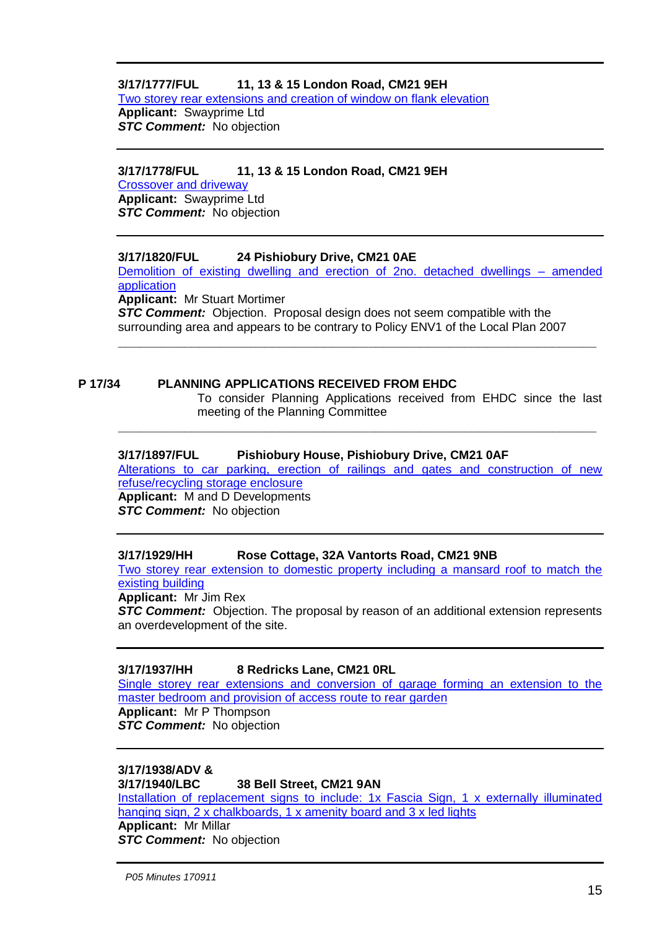# **3/17/1777/FUL 11, 13 & 15 London Road, CM21 9EH**

[Two storey rear extensions and creation of window on flank elevation](https://publicaccess.eastherts.gov.uk/online-applications/applicationDetails.do?activeTab=summary&keyVal=OTQM7BGLHV200) **Applicant:** Swayprime Ltd **STC Comment:** No objection

## **3/17/1778/FUL 11, 13 & 15 London Road, CM21 9EH**

[Crossover and driveway](https://publicaccess.eastherts.gov.uk/online-applications/applicationDetails.do?activeTab=summary&keyVal=OTQM7NGLHV400) **Applicant:** Swayprime Ltd *STC Comment:* No objection

## **3/17/1820/FUL 24 Pishiobury Drive, CM21 0AE**

[Demolition of existing dwelling and erection of 2no. detached dwellings –](https://publicaccess.eastherts.gov.uk/online-applications/applicationDetails.do?activeTab=summary&keyVal=OU06OAGLHXI00) amended [application](https://publicaccess.eastherts.gov.uk/online-applications/applicationDetails.do?activeTab=summary&keyVal=OU06OAGLHXI00)

**\_\_\_\_\_\_\_\_\_\_\_\_\_\_\_\_\_\_\_\_\_\_\_\_\_\_\_\_\_\_\_\_\_\_\_\_\_\_\_\_\_\_\_\_\_\_\_\_\_\_\_\_\_\_\_\_\_\_\_\_\_\_\_\_\_**

**\_\_\_\_\_\_\_\_\_\_\_\_\_\_\_\_\_\_\_\_\_\_\_\_\_\_\_\_\_\_\_\_\_\_\_\_\_\_\_\_\_\_\_\_\_\_\_\_\_\_\_\_\_\_\_\_\_\_\_\_\_\_\_\_\_**

**Applicant:** Mr Stuart Mortimer

**STC Comment:** Objection. Proposal design does not seem compatible with the surrounding area and appears to be contrary to Policy ENV1 of the Local Plan 2007

## **P 17/34 PLANNING APPLICATIONS RECEIVED FROM EHDC**

To consider Planning Applications received from EHDC since the last meeting of the Planning Committee

## **3/17/1897/FUL Pishiobury House, Pishiobury Drive, CM21 0AF**

[Alterations to car parking, erection of railings and gates and construction of new](https://publicaccess.eastherts.gov.uk/online-applications/applicationDetails.do?activeTab=summary&keyVal=OUH5QTGLI2E00)  [refuse/recycling storage enclosure](https://publicaccess.eastherts.gov.uk/online-applications/applicationDetails.do?activeTab=summary&keyVal=OUH5QTGLI2E00) **Applicant:** M and D Developments

*STC Comment:* No objection

## **3/17/1929/HH Rose Cottage, 32A Vantorts Road, CM21 9NB**

[Two storey rear extension to domestic property including a mansard roof to match the](https://publicaccess.eastherts.gov.uk/online-applications/applicationDetails.do?activeTab=summary&keyVal=OURNJJGLI4N00)  [existing building](https://publicaccess.eastherts.gov.uk/online-applications/applicationDetails.do?activeTab=summary&keyVal=OURNJJGLI4N00)

**Applicant:** Mr Jim Rex

**STC Comment:** Objection. The proposal by reason of an additional extension represents an overdevelopment of the site.

## **3/17/1937/HH 8 Redricks Lane, CM21 0RL**

[Single storey rear extensions and conversion of garage forming an extension to the](https://publicaccess.eastherts.gov.uk/online-applications/applicationDetails.do?activeTab=summary&keyVal=OUTI8KGLI5A00)  [master bedroom and provision of access route to rear garden](https://publicaccess.eastherts.gov.uk/online-applications/applicationDetails.do?activeTab=summary&keyVal=OUTI8KGLI5A00)

**Applicant:** Mr P Thompson **STC Comment:** No objection

#### **3/17/1938/ADV &**

## **3/17/1940/LBC 38 Bell Street, CM21 9AN**

[Installation of replacement signs to include: 1x Fascia Sign, 1 x externally illuminated](https://publicaccess.eastherts.gov.uk/online-applications/applicationDetails.do?activeTab=summary&keyVal=OUTTAGGLI5H00)  [hanging sign, 2 x chalkboards, 1 x amenity board and 3 x led lights](https://publicaccess.eastherts.gov.uk/online-applications/applicationDetails.do?activeTab=summary&keyVal=OUTTAGGLI5H00)

## **Applicant:** Mr Millar

**STC Comment:** No objection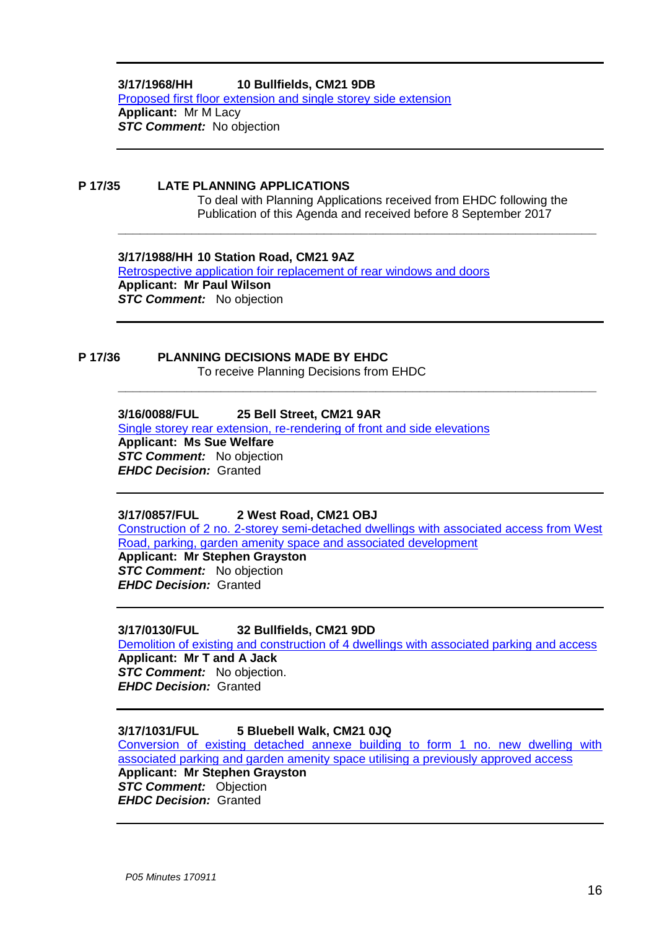## **3/17/1968/HH 10 Bullfields, CM21 9DB** [Proposed first floor extension and single storey side extension](https://publicaccess.eastherts.gov.uk/online-applications/applicationDetails.do?activeTab=summary&keyVal=OV140RGL00X00) **Applicant:** Mr M Lacy **STC Comment:** No objection

#### **P 17/35 LATE PLANNING APPLICATIONS**

To deal with Planning Applications received from EHDC following the Publication of this Agenda and received before 8 September 2017

**\_\_\_\_\_\_\_\_\_\_\_\_\_\_\_\_\_\_\_\_\_\_\_\_\_\_\_\_\_\_\_\_\_\_\_\_\_\_\_\_\_\_\_\_\_\_\_\_\_\_\_\_\_\_\_\_\_\_\_\_\_\_\_\_\_**

**\_\_\_\_\_\_\_\_\_\_\_\_\_\_\_\_\_\_\_\_\_\_\_\_\_\_\_\_\_\_\_\_\_\_\_\_\_\_\_\_\_\_\_\_\_\_\_\_\_\_\_\_\_\_\_\_\_\_\_\_\_\_\_\_\_**

#### **3/17/1988/HH 10 Station Road, CM21 9AZ**

[Retrospective application foir replacement of rear windows and doors](https://publicaccess.eastherts.gov.uk/online-applications/applicationDetails.do?activeTab=summary&keyVal=O0ZIA3GLI8Z00) **Applicant: Mr Paul Wilson** *STC Comment:* No objection

#### **P 17/36 PLANNING DECISIONS MADE BY EHDC**

To receive Planning Decisions from EHDC

#### **3/16/0088/FUL 25 Bell Street, CM21 9AR**

[Single storey rear extension, re-rendering of front and side elevations](https://publicaccess.eastherts.gov.uk/online-applications/applicationDetails.do?activeTab=summary&keyVal=O0ZIA3GLI8Z00) **Applicant: Ms Sue Welfare** *STC Comment:* No objection *EHDC Decision:* Granted

#### **3/17/0857/FUL 2 West Road, CM21 OBJ**

[Construction of 2 no. 2-storey semi-detached dwellings with associated access from West](https://publicaccess.eastherts.gov.uk/online-applications/applicationDetails.do?activeTab=summary&keyVal=OO1DCBGLGCI00)  [Road, parking, garden amenity space and associated development](https://publicaccess.eastherts.gov.uk/online-applications/applicationDetails.do?activeTab=summary&keyVal=OO1DCBGLGCI00)

**Applicant: Mr Stephen Grayston** *STC Comment:* No objection *EHDC Decision:* Granted

#### **3/17/0130/FUL 32 Bullfields, CM21 9DD**

[Demolition of existing and construction of 4 dwellings with associated parking and access](https://publicaccess.eastherts.gov.uk/online-applications/applicationDetails.do?activeTab=summary&keyVal=OK1028GLMYG00) **Applicant: Mr T and A Jack** *STC Comment:* No objection. *EHDC Decision:* Granted

#### **3/17/1031/FUL 5 Bluebell Walk, CM21 0JQ**

[Conversion of existing detached annexe building to form 1 no. new dwelling with](https://publicaccess.eastherts.gov.uk/online-applications/applicationDetails.do?activeTab=summary&keyVal=OP89RXGLGMO00)  [associated parking and garden amenity space utilising a previously approved access](https://publicaccess.eastherts.gov.uk/online-applications/applicationDetails.do?activeTab=summary&keyVal=OP89RXGLGMO00) **Applicant: Mr Stephen Grayston** *STC Comment:* Objection *EHDC Decision:* Granted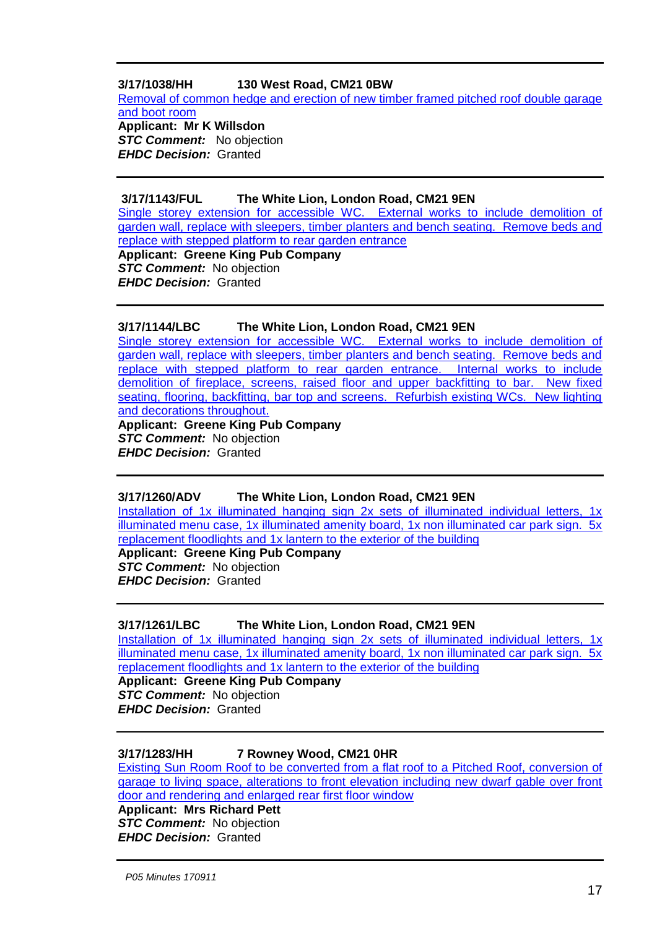## **3/17/1038/HH 130 West Road, CM21 0BW**

[Removal of common hedge and erection of new timber framed pitched roof double garage](https://publicaccess.eastherts.gov.uk/online-applications/applicationDetails.do?activeTab=summary&keyVal=OPBMXEGL00X00)  [and boot room](https://publicaccess.eastherts.gov.uk/online-applications/applicationDetails.do?activeTab=summary&keyVal=OPBMXEGL00X00)

**Applicant: Mr K Willsdon** *STC Comment:* No objection *EHDC Decision:* Granted

#### **3/17/1143/FUL The White Lion, London Road, CM21 9EN**

[Single storey extension for accessible WC. External works to](https://publicaccess.eastherts.gov.uk/online-applications/applicationDetails.do?activeTab=summary&keyVal=OQ01QLGLGTG00) include demolition of [garden wall, replace with sleepers, timber planters and bench seating. Remove beds and](https://publicaccess.eastherts.gov.uk/online-applications/applicationDetails.do?activeTab=summary&keyVal=OQ01QLGLGTG00)  [replace with stepped platform to rear garden entrance](https://publicaccess.eastherts.gov.uk/online-applications/applicationDetails.do?activeTab=summary&keyVal=OQ01QLGLGTG00) **Applicant: Greene King Pub Company** *STC Comment:* No objection *EHDC Decision:* Granted

#### **3/17/1144/LBC The White Lion, London Road, CM21 9EN**

[Single storey extension for accessible WC. External works to include demolition of](https://publicaccess.eastherts.gov.uk/online-applications/applicationDetails.do?activeTab=summary&keyVal=OQ01R0GLGTH00)  [garden wall, replace with sleepers, timber planters and bench seating. Remove beds and](https://publicaccess.eastherts.gov.uk/online-applications/applicationDetails.do?activeTab=summary&keyVal=OQ01R0GLGTH00)  [replace with stepped platform to rear garden entrance. Internal works to include](https://publicaccess.eastherts.gov.uk/online-applications/applicationDetails.do?activeTab=summary&keyVal=OQ01R0GLGTH00)  [demolition of fireplace, screens, raised floor and upper backfitting to bar. New fixed](https://publicaccess.eastherts.gov.uk/online-applications/applicationDetails.do?activeTab=summary&keyVal=OQ01R0GLGTH00)  [seating, flooring, backfitting, bar top and screens. Refurbish existing WCs. New lighting](https://publicaccess.eastherts.gov.uk/online-applications/applicationDetails.do?activeTab=summary&keyVal=OQ01R0GLGTH00)  [and decorations throughout.](https://publicaccess.eastherts.gov.uk/online-applications/applicationDetails.do?activeTab=summary&keyVal=OQ01R0GLGTH00)

**Applicant: Greene King Pub Company** *STC Comment:* No objection *EHDC Decision:* Granted

#### **3/17/1260/ADV The White Lion, London Road, CM21 9EN**

Installation of 1x illuminated hanging sign 2x sets of illuminated individual letters, 1x illuminated menu case, 1x illuminated amenity board, 1x non illuminated car park sign. 5x [replacement floodlights and 1x lantern to the exterior of the building](https://publicaccess.eastherts.gov.uk/online-applications/applicationDetails.do?activeTab=summary&keyVal=OQRIPSGLH1200)

**Applicant: Greene King Pub Company** *STC Comment:* No objection *EHDC Decision:* Granted

#### **3/17/1261/LBC The White Lion, London Road, CM21 9EN**

[Installation of 1x illuminated hanging sign 2x sets of illuminated individual letters, 1x](https://publicaccess.eastherts.gov.uk/online-applications/applicationDetails.do?activeTab=summary&keyVal=OQRIQ2GLH1400)  illuminated menu case, 1x illuminated amenity board, 1x non illuminated car park sign. 5x [replacement floodlights and 1x lantern to the exterior of the building](https://publicaccess.eastherts.gov.uk/online-applications/applicationDetails.do?activeTab=summary&keyVal=OQRIQ2GLH1400) **Applicant: Greene King Pub Company** *STC Comment:* No objection *EHDC Decision:* Granted

#### **3/17/1283/HH 7 Rowney Wood, CM21 0HR**

[Existing Sun Room Roof to be converted from a flat roof to a Pitched Roof, conversion of](https://publicaccess.eastherts.gov.uk/online-applications/applicationDetails.do?activeTab=summary&keyVal=OQTOKZGLH2300)  [garage to living space, alterations to front elevation including new dwarf gable over front](https://publicaccess.eastherts.gov.uk/online-applications/applicationDetails.do?activeTab=summary&keyVal=OQTOKZGLH2300)  [door and rendering and enlarged rear first floor window](https://publicaccess.eastherts.gov.uk/online-applications/applicationDetails.do?activeTab=summary&keyVal=OQTOKZGLH2300)

**Applicant: Mrs Richard Pett** *STC Comment:* No objection *EHDC Decision:* Granted

*P05 Minutes 170911*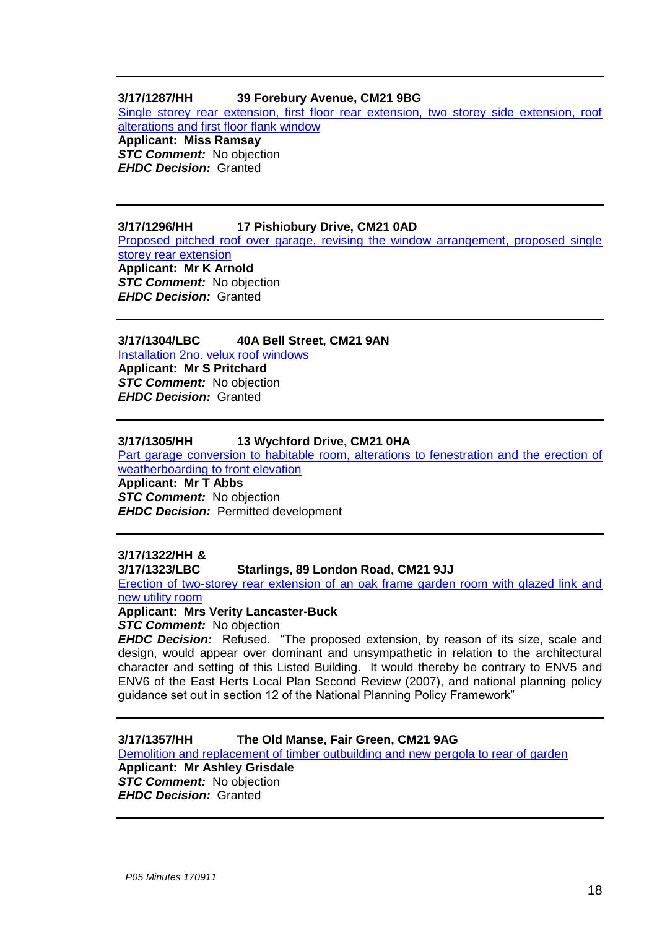#### **3/17/1287/HH 39 Forebury Avenue, CM21 9BG**

[Single storey rear extension, first floor rear extension, two storey side extension, roof](https://publicaccess.eastherts.gov.uk/online-applications/applicationDetails.do?activeTab=summary&keyVal=OQV7YMGLH2900)  [alterations and first floor flank window](https://publicaccess.eastherts.gov.uk/online-applications/applicationDetails.do?activeTab=summary&keyVal=OQV7YMGLH2900) **Applicant: Miss Ramsay** *STC Comment:* No objection *EHDC Decision:* Granted

#### **3/17/1296/HH 17 Pishiobury Drive, CM21 0AD**

[Proposed pitched roof over garage, revising the window arrangement, proposed single](https://publicaccess.eastherts.gov.uk/online-applications/applicationDetails.do?activeTab=summary&keyVal=OQYM79GLH2Y00)  [storey rear extension](https://publicaccess.eastherts.gov.uk/online-applications/applicationDetails.do?activeTab=summary&keyVal=OQYM79GLH2Y00)

**Applicant: Mr K Arnold** *STC Comment:* No objection *EHDC Decision:* Granted

#### **3/17/1304/LBC 40A Bell Street, CM21 9AN**

[Installation 2no. velux roof windows](https://publicaccess.eastherts.gov.uk/online-applications/applicationDetails.do?activeTab=summary&keyVal=OR2M7IGL00X00) **Applicant: Mr S Pritchard STC Comment:** No objection *EHDC Decision:* Granted

#### **3/17/1305/HH 13 Wychford Drive, CM21 0HA**

[Part garage conversion to habitable room, alterations to fenestration and the erection of](https://publicaccess.eastherts.gov.uk/online-applications/applicationDetails.do?activeTab=summary&keyVal=OR2MBFGL00X00)  [weatherboarding to front elevation](https://publicaccess.eastherts.gov.uk/online-applications/applicationDetails.do?activeTab=summary&keyVal=OR2MBFGL00X00)

**Applicant: Mr T Abbs** *STC Comment:* No objection *EHDC Decision:* Permitted development

#### **3/17/1322/HH &**

**3/17/1323/LBC Starlings, 89 London Road, CM21 9JJ**

[Erection of two-storey rear extension of an oak frame garden room with glazed link and](https://publicaccess.eastherts.gov.uk/online-applications/applicationDetails.do?activeTab=summary&keyVal=OR4SGJGLH4G00)  [new utility room](https://publicaccess.eastherts.gov.uk/online-applications/applicationDetails.do?activeTab=summary&keyVal=OR4SGJGLH4G00)

**Applicant: Mrs Verity Lancaster-Buck**

*STC Comment:* No objection

*EHDC Decision:* Refused. "The proposed extension, by reason of its size, scale and design, would appear over dominant and unsympathetic in relation to the architectural character and setting of this Listed Building. It would thereby be contrary to ENV5 and ENV6 of the East Herts Local Plan Second Review (2007), and national planning policy guidance set out in section 12 of the National Planning Policy Framework"

#### **3/17/1357/HH The Old Manse, Fair Green, CM21 9AG**

[Demolition and replacement of timber outbuilding and new pergola to rear of garden](https://publicaccess.eastherts.gov.uk/online-applications/applicationDetails.do?activeTab=summary&keyVal=ORACFLGLH6M00) **Applicant: Mr Ashley Grisdale** *STC Comment:* No objection *EHDC Decision:* Granted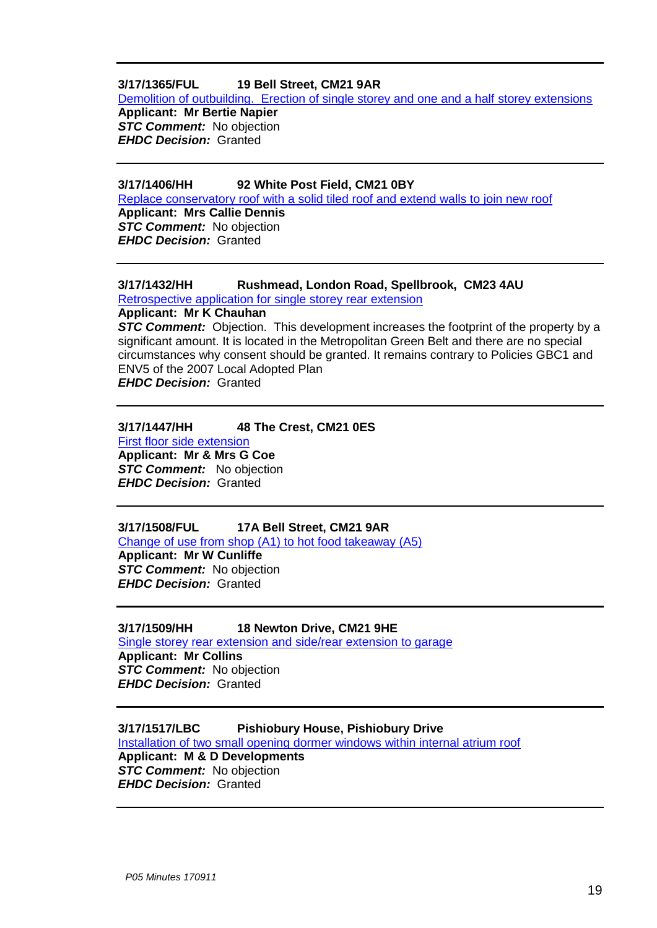## **3/17/1365/FUL 19 Bell Street, CM21 9AR**

[Demolition of outbuilding. Erection of single storey and one and a half](https://publicaccess.eastherts.gov.uk/online-applications/applicationDetails.do?activeTab=summary&keyVal=ORFLCBGLH7F00) storey extensions

**Applicant: Mr Bertie Napier** *STC Comment:* No objection *EHDC Decision:* Granted

## **3/17/1406/HH 92 White Post Field, CM21 0BY**

[Replace conservatory roof with a solid tiled roof and extend walls to join new roof](https://publicaccess.eastherts.gov.uk/online-applications/applicationDetails.do?activeTab=summary&keyVal=ORMZZ7GLH9Y00) **Applicant: Mrs Callie Dennis** *STC Comment:* No objection *EHDC Decision:* Granted

## **3/17/1432/HH Rushmead, London Road, Spellbrook, CM23 4AU**

[Retrospective application for single storey rear extension](https://publicaccess.eastherts.gov.uk/online-applications/applicationDetails.do?activeTab=summary&keyVal=ORUEMKGLHBG00)

**Applicant: Mr K Chauhan**

*STC Comment:* Objection. This development increases the footprint of the property by a significant amount. It is located in the Metropolitan Green Belt and there are no special circumstances why consent should be granted. It remains contrary to Policies GBC1 and ENV5 of the 2007 Local Adopted Plan *EHDC Decision:* Granted

# **3/17/1447/HH 48 The Crest, CM21 0ES**

[First floor side extension](https://publicaccess.eastherts.gov.uk/online-applications/applicationDetails.do?activeTab=summary&keyVal=ORW5JLGL00X00) **Applicant: Mr & Mrs G Coe** *STC Comment:* No objection *EHDC Decision:* Granted

#### **3/17/1508/FUL 17A Bell Street, CM21 9AR** [Change of use from shop \(A1\) to hot food takeaway \(A5\)](https://publicaccess.eastherts.gov.uk/online-applications/applicationDetails.do?activeTab=summary&keyVal=OS7KHRGL00X00)

**Applicant: Mr W Cunliffe** *STC Comment:* No objection *EHDC Decision:* Granted

#### **3/17/1509/HH 18 Newton Drive, CM21 9HE**

[Single storey rear extension and side/rear extension to garage](https://publicaccess.eastherts.gov.uk/online-applications/applicationDetails.do?activeTab=summary&keyVal=OS7KNOGL00X00) **Applicant: Mr Collins STC Comment:** No objection *EHDC Decision:* Granted

## **3/17/1517/LBC Pishiobury House, Pishiobury Drive**

[Installation of two small opening dormer windows within internal atrium roof](https://publicaccess.eastherts.gov.uk/online-applications/applicationDetails.do?activeTab=summary&keyVal=OSARHKGLHGQ00) **Applicant: M & D Developments** *STC Comment:* No objection *EHDC Decision:* Granted